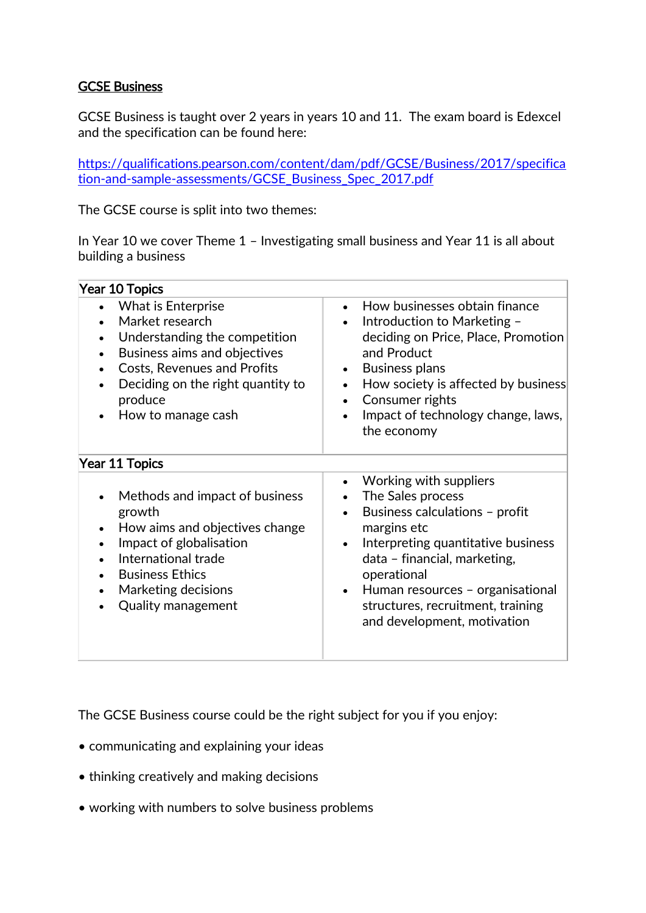## GCSE Business

GCSE Business is taught over 2 years in years 10 and 11. The exam board is Edexcel and the specification can be found here:

[https://qualifications.pearson.com/content/dam/pdf/GCSE/Business/2017/specifica](https://qualifications.pearson.com/content/dam/pdf/GCSE/Business/2017/specification-and-sample-assessments/GCSE_Business_Spec_2017.pdf) [tion-and-sample-assessments/GCSE\\_Business\\_Spec\\_2017.pdf](https://qualifications.pearson.com/content/dam/pdf/GCSE/Business/2017/specification-and-sample-assessments/GCSE_Business_Spec_2017.pdf)

The GCSE course is split into two themes:

In Year 10 we cover Theme 1 – Investigating small business and Year 11 is all about building a business

| <b>Year 10 Topics</b>                                                                                                                                                                                                                                                                            |                                                                                                                                                                                                                                                                                                                     |
|--------------------------------------------------------------------------------------------------------------------------------------------------------------------------------------------------------------------------------------------------------------------------------------------------|---------------------------------------------------------------------------------------------------------------------------------------------------------------------------------------------------------------------------------------------------------------------------------------------------------------------|
| What is Enterprise<br>$\bullet$<br>Market research<br>Understanding the competition<br>$\bullet$<br>Business aims and objectives<br>$\bullet$<br><b>Costs, Revenues and Profits</b><br>$\bullet$<br>Deciding on the right quantity to<br>$\bullet$<br>produce<br>How to manage cash<br>$\bullet$ | How businesses obtain finance<br>$\bullet$<br>Introduction to Marketing -<br>$\bullet$<br>deciding on Price, Place, Promotion<br>and Product<br><b>Business plans</b><br>How society is affected by business<br>$\bullet$<br>Consumer rights<br>Impact of technology change, laws,<br>the economy                   |
| Year 11 Topics                                                                                                                                                                                                                                                                                   |                                                                                                                                                                                                                                                                                                                     |
| Methods and impact of business<br>$\bullet$<br>growth<br>How aims and objectives change<br>$\bullet$<br>Impact of globalisation<br>$\bullet$<br>International trade<br><b>Business Ethics</b><br>Marketing decisions<br>$\bullet$<br><b>Quality management</b>                                   | Working with suppliers<br>The Sales process<br>Business calculations - profit<br>margins etc<br>Interpreting quantitative business<br>$\bullet$<br>data - financial, marketing,<br>operational<br>Human resources - organisational<br>$\bullet$<br>structures, recruitment, training<br>and development, motivation |

The GCSE Business course could be the right subject for you if you enjoy:

- communicating and explaining your ideas
- thinking creatively and making decisions
- working with numbers to solve business problems